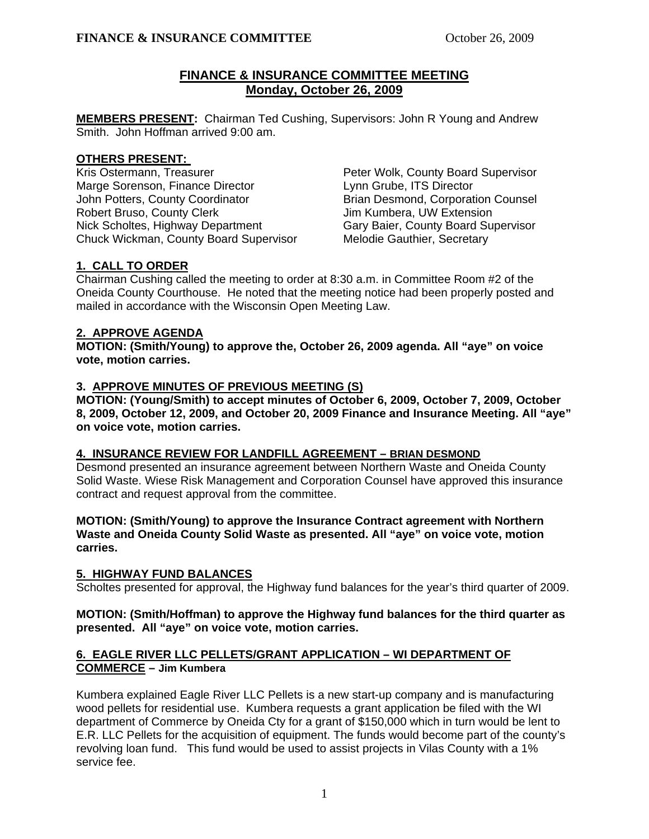# **FINANCE & INSURANCE COMMITTEE MEETING Monday, October 26, 2009**

**MEMBERS PRESENT:** Chairman Ted Cushing, Supervisors: John R Young and Andrew Smith. John Hoffman arrived 9:00 am.

# **OTHERS PRESENT:**

Kris Ostermann, Treasurer **Peter Wolk, County Board Supervisor** Marge Sorenson, Finance Director **Lynn Grube, ITS Director** John Potters, County Coordinator **Brian Desmond, Corporation Counsel** Robert Bruso, County Clerk The Muslim Kumbera, UW Extension Nick Scholtes, Highway Department Gary Baier, County Board Supervisor<br>Chuck Wickman, County Board Supervisor Melodie Gauthier, Secretary Chuck Wickman, County Board Supervisor

# **1. CALL TO ORDER**

Chairman Cushing called the meeting to order at 8:30 a.m. in Committee Room #2 of the Oneida County Courthouse. He noted that the meeting notice had been properly posted and mailed in accordance with the Wisconsin Open Meeting Law.

# **2. APPROVE AGENDA**

**MOTION: (Smith/Young) to approve the, October 26, 2009 agenda. All "aye" on voice vote, motion carries.** 

# **3. APPROVE MINUTES OF PREVIOUS MEETING (S)**

 **MOTION: (Young/Smith) to accept minutes of October 6, 2009, October 7, 2009, October 8, 2009, October 12, 2009, and October 20, 2009 Finance and Insurance Meeting. All "aye" on voice vote, motion carries.** 

# **4. INSURANCE REVIEW FOR LANDFILL AGREEMENT – BRIAN DESMOND**

Desmond presented an insurance agreement between Northern Waste and Oneida County Solid Waste. Wiese Risk Management and Corporation Counsel have approved this insurance contract and request approval from the committee.

### **MOTION: (Smith/Young) to approve the Insurance Contract agreement with Northern Waste and Oneida County Solid Waste as presented. All "aye" on voice vote, motion carries.**

# **5. HIGHWAY FUND BALANCES**

Scholtes presented for approval, the Highway fund balances for the year's third quarter of 2009.

# **MOTION: (Smith/Hoffman) to approve the Highway fund balances for the third quarter as presented. All "aye" on voice vote, motion carries.**

# **6. EAGLE RIVER LLC PELLETS/GRANT APPLICATION – WI DEPARTMENT OF COMMERCE – Jim Kumbera**

Kumbera explained Eagle River LLC Pellets is a new start-up company and is manufacturing wood pellets for residential use. Kumbera requests a grant application be filed with the WI department of Commerce by Oneida Cty for a grant of \$150,000 which in turn would be lent to E.R. LLC Pellets for the acquisition of equipment. The funds would become part of the county's revolving loan fund. This fund would be used to assist projects in Vilas County with a 1% service fee.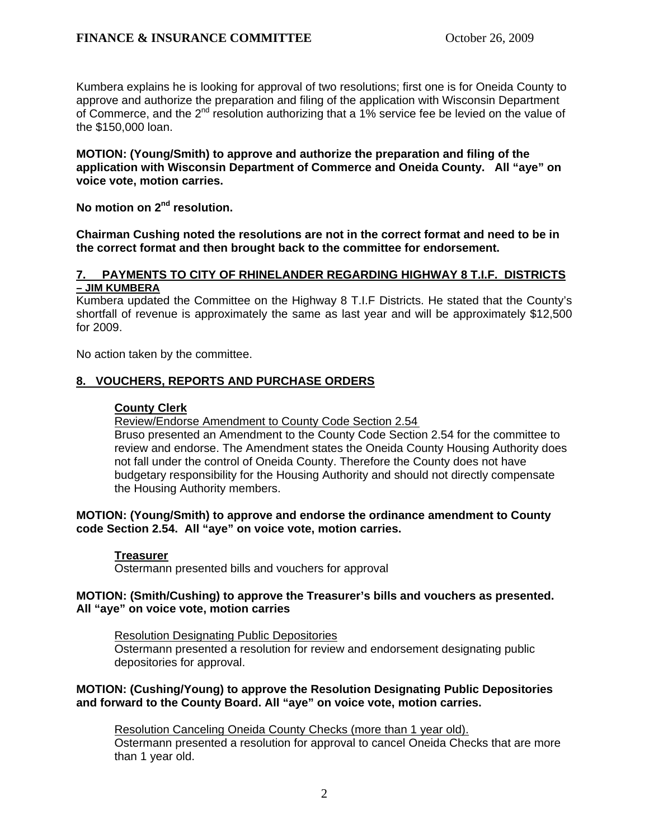Kumbera explains he is looking for approval of two resolutions; first one is for Oneida County to approve and authorize the preparation and filing of the application with Wisconsin Department of Commerce, and the  $2^{nd}$  resolution authorizing that a 1% service fee be levied on the value of the \$150,000 loan.

**MOTION: (Young/Smith) to approve and authorize the preparation and filing of the application with Wisconsin Department of Commerce and Oneida County. All "aye" on voice vote, motion carries.** 

**No motion on 2nd resolution.** 

**Chairman Cushing noted the resolutions are not in the correct format and need to be in the correct format and then brought back to the committee for endorsement.** 

### **7. PAYMENTS TO CITY OF RHINELANDER REGARDING HIGHWAY 8 T.I.F. DISTRICTS – JIM KUMBERA**

Kumbera updated the Committee on the Highway 8 T.I.F Districts. He stated that the County's shortfall of revenue is approximately the same as last year and will be approximately \$12,500 for 2009.

No action taken by the committee.

### **8. VOUCHERS, REPORTS AND PURCHASE ORDERS**

#### **County Clerk**

Review/Endorse Amendment to County Code Section 2.54

Bruso presented an Amendment to the County Code Section 2.54 for the committee to review and endorse. The Amendment states the Oneida County Housing Authority does not fall under the control of Oneida County. Therefore the County does not have budgetary responsibility for the Housing Authority and should not directly compensate the Housing Authority members.

#### **MOTION: (Young/Smith) to approve and endorse the ordinance amendment to County code Section 2.54. All "aye" on voice vote, motion carries.**

#### **Treasurer**

Ostermann presented bills and vouchers for approval

#### **MOTION: (Smith/Cushing) to approve the Treasurer's bills and vouchers as presented. All "aye" on voice vote, motion carries**

Resolution Designating Public Depositories Ostermann presented a resolution for review and endorsement designating public depositories for approval.

#### **MOTION: (Cushing/Young) to approve the Resolution Designating Public Depositories and forward to the County Board. All "aye" on voice vote, motion carries.**

Resolution Canceling Oneida County Checks (more than 1 year old). Ostermann presented a resolution for approval to cancel Oneida Checks that are more than 1 year old.